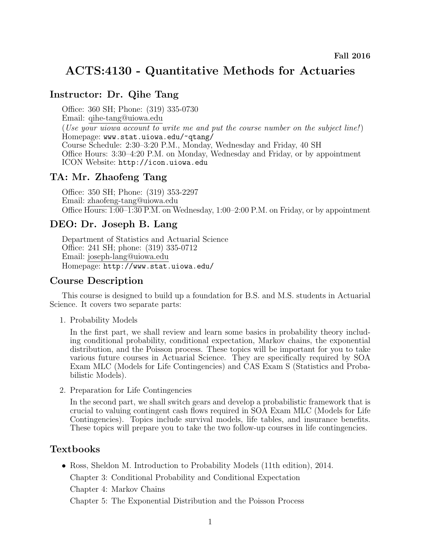# ACTS:4130 - Quantitative Methods for Actuaries

# Instructor: Dr. Qihe Tang

Office: 360 SH; Phone: (319) 335-0730 Email: qihe-tang@uiowa.edu (Use your uiowa account to write me and put the course number on the subject line!) Homepage: www.stat.uiowa.edu/~qtang/ Course Schedule: 2:30–3:20 P.M., Monday, Wednesday and Friday, 40 SH Office Hours: 3:30–4:20 P.M. on Monday, Wednesday and Friday, or by appointment ICON Website: http://icon.uiowa.edu

# TA: Mr. Zhaofeng Tang

Office: 350 SH; Phone: (319) 353-2297 Email: zhaofeng-tang@uiowa.edu Office Hours: 1:00–1:30 P.M. on Wednesday, 1:00–2:00 P.M. on Friday, or by appointment

## DEO: Dr. Joseph B. Lang

Department of Statistics and Actuarial Science Office: 241 SH; phone: (319) 335-0712 Email: joseph-lang@uiowa.edu Homepage: http://www.stat.uiowa.edu/

# Course Description

This course is designed to build up a foundation for B.S. and M.S. students in Actuarial Science. It covers two separate parts:

1. Probability Models

In the first part, we shall review and learn some basics in probability theory including conditional probability, conditional expectation, Markov chains, the exponential distribution, and the Poisson process. These topics will be important for you to take various future courses in Actuarial Science. They are specifically required by SOA Exam MLC (Models for Life Contingencies) and CAS Exam S (Statistics and Probabilistic Models).

2. Preparation for Life Contingencies

In the second part, we shall switch gears and develop a probabilistic framework that is crucial to valuing contingent cash flows required in SOA Exam MLC (Models for Life Contingencies). Topics include survival models, life tables, and insurance benefits. These topics will prepare you to take the two follow-up courses in life contingencies.

# Textbooks

• Ross, Sheldon M. Introduction to Probability Models (11th edition), 2014. Chapter 3: Conditional Probability and Conditional Expectation

Chapter 4: Markov Chains

Chapter 5: The Exponential Distribution and the Poisson Process